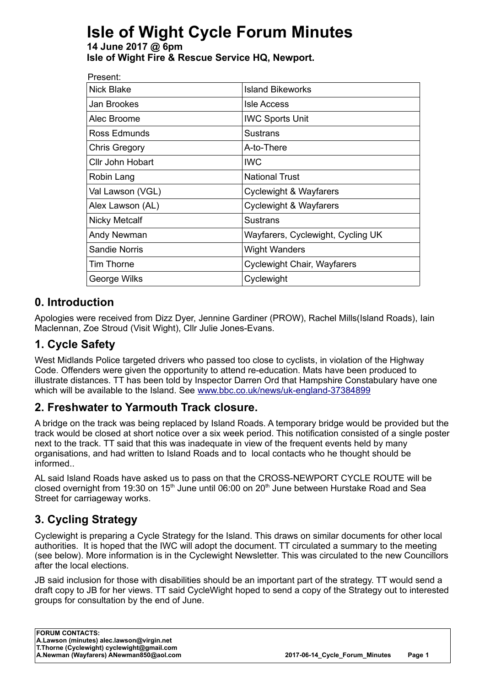# **Isle of Wight Cycle Forum Minutes**

#### **14 June 2017 @ 6pm Isle of Wight Fire & Rescue Service HQ, Newport.**

| Present:             |                                   |
|----------------------|-----------------------------------|
| Nick Blake           | <b>Island Bikeworks</b>           |
| Jan Brookes          | <b>Isle Access</b>                |
| Alec Broome          | <b>IWC Sports Unit</b>            |
| Ross Edmunds         | <b>Sustrans</b>                   |
| <b>Chris Gregory</b> | A-to-There                        |
| Cllr John Hobart     | <b>IWC</b>                        |
| Robin Lang           | <b>National Trust</b>             |
| Val Lawson (VGL)     | <b>Cyclewight &amp; Wayfarers</b> |
| Alex Lawson (AL)     | <b>Cyclewight &amp; Wayfarers</b> |
| <b>Nicky Metcalf</b> | <b>Sustrans</b>                   |
| Andy Newman          | Wayfarers, Cyclewight, Cycling UK |
| <b>Sandie Norris</b> | <b>Wight Wanders</b>              |
| Tim Thorne           | Cyclewight Chair, Wayfarers       |
| George Wilks         | Cyclewight                        |
|                      |                                   |

#### **0. Introduction**

Apologies were received from Dizz Dyer, Jennine Gardiner (PROW), Rachel Mills(Island Roads), Iain Maclennan, Zoe Stroud (Visit Wight), Cllr Julie Jones-Evans.

## **1. Cycle Safety**

West Midlands Police targeted drivers who passed too close to cyclists, in violation of the Highway Code. Offenders were given the opportunity to attend re-education. Mats have been produced to illustrate distances. TT has been told by Inspector Darren Ord that Hampshire Constabulary have one which will be available to the Island. See [www.bbc.co.uk/news/uk-england-37384899](http://www.bbc.co.uk/news/uk-england37384899) 

## **2. Freshwater to Yarmouth Track closure.**

A bridge on the track was being replaced by Island Roads. A temporary bridge would be provided but the track would be closed at short notice over a six week period. This notification consisted of a single poster next to the track. TT said that this was inadequate in view of the frequent events held by many organisations, and had written to Island Roads and to local contacts who he thought should be informed..

AL said Island Roads have asked us to pass on that the CROSS-NEWPORT CYCLE ROUTE will be closed overnight from 19:30 on 15<sup>th</sup> June until 06:00 on 20<sup>th</sup> June between Hurstake Road and Sea Street for carriageway works.

## **3. Cycling Strategy**

Cyclewight is preparing a Cycle Strategy for the Island. This draws on similar documents for other local authorities. It is hoped that the IWC will adopt the document. TT circulated a summary to the meeting (see below). More information is in the Cyclewight Newsletter. This was circulated to the new Councillors after the local elections.

JB said inclusion for those with disabilities should be an important part of the strategy. TT would send a draft copy to JB for her views. TT said CycleWight hoped to send a copy of the Strategy out to interested groups for consultation by the end of June.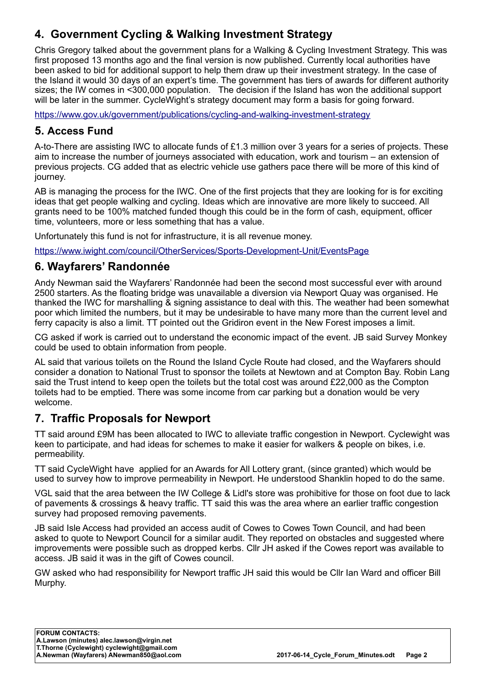## **4. Government Cycling & Walking Investment Strategy**

Chris Gregory talked about the government plans for a Walking & Cycling Investment Strategy. This was first proposed 13 months ago and the final version is now published. Currently local authorities have been asked to bid for additional support to help them draw up their investment strategy. In the case of the Island it would 30 days of an expert's time. The government has tiers of awards for different authority sizes; the IW comes in <300,000 population. The decision if the Island has won the additional support will be later in the summer. CycleWight's strategy document may form a basis for going forward.

<https://www.gov.uk/government/publications/cycling-and-walking-investment-strategy>

#### **5. Access Fund**

A-to-There are assisting IWC to allocate funds of £1.3 million over 3 years for a series of projects. These aim to increase the number of journeys associated with education, work and tourism – an extension of previous projects. CG added that as electric vehicle use gathers pace there will be more of this kind of journey.

AB is managing the process for the IWC. One of the first projects that they are looking for is for exciting ideas that get people walking and cycling. Ideas which are innovative are more likely to succeed. All grants need to be 100% matched funded though this could be in the form of cash, equipment, officer time, volunteers, more or less something that has a value.

Unfortunately this fund is not for infrastructure, it is all revenue money.

<https://www.iwight.com/council/OtherServices/Sports-Development-Unit/EventsPage>

#### **6. Wayfarers' Randonnée**

Andy Newman said the Wayfarers' Randonnée had been the second most successful ever with around 2500 starters. As the floating bridge was unavailable a diversion via Newport Quay was organised. He thanked the IWC for marshalling & signing assistance to deal with this. The weather had been somewhat poor which limited the numbers, but it may be undesirable to have many more than the current level and ferry capacity is also a limit. TT pointed out the Gridiron event in the New Forest imposes a limit.

CG asked if work is carried out to understand the economic impact of the event. JB said Survey Monkey could be used to obtain information from people.

AL said that various toilets on the Round the Island Cycle Route had closed, and the Wayfarers should consider a donation to National Trust to sponsor the toilets at Newtown and at Compton Bay. Robin Lang said the Trust intend to keep open the toilets but the total cost was around £22,000 as the Compton toilets had to be emptied. There was some income from car parking but a donation would be very welcome.

#### **7. Traffic Proposals for Newport**

TT said around £9M has been allocated to IWC to alleviate traffic congestion in Newport. Cyclewight was keen to participate, and had ideas for schemes to make it easier for walkers & people on bikes, i.e. permeability.

TT said CycleWight have applied for an Awards for All Lottery grant, (since granted) which would be used to survey how to improve permeability in Newport. He understood Shanklin hoped to do the same.

VGL said that the area between the IW College & Lidl's store was prohibitive for those on foot due to lack of pavements & crossings & heavy traffic. TT said this was the area where an earlier traffic congestion survey had proposed removing pavements.

JB said Isle Access had provided an access audit of Cowes to Cowes Town Council, and had been asked to quote to Newport Council for a similar audit. They reported on obstacles and suggested where improvements were possible such as dropped kerbs. Cllr JH asked if the Cowes report was available to access. JB said it was in the gift of Cowes council.

GW asked who had responsibility for Newport traffic JH said this would be Cllr Ian Ward and officer Bill Murphy.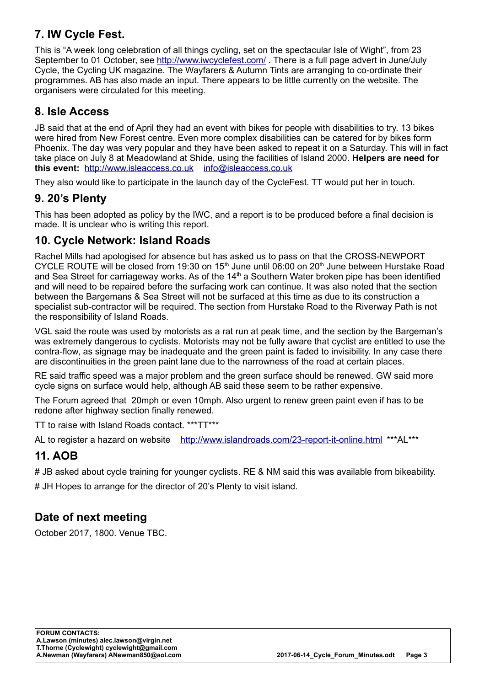#### **7. IW Cycle Fest.**

This is "A week long celebration of all things cycling, set on the spectacular Isle of Wight", from 23 September to 01 October, see<http://www.iwcyclefest.com/>. There is a full page advert in June/July Cycle, the Cycling UK magazine. The Wayfarers & Autumn Tints are arranging to co-ordinate their programmes. AB has also made an input. There appears to be little currently on the website. The organisers were circulated for this meeting.

#### **8. Isle Access**

JB said that at the end of April they had an event with bikes for people with disabilities to try. 13 bikes were hired from New Forest centre. Even more complex disabilities can be catered for by bikes form Phoenix. The day was very popular and they have been asked to repeat it on a Saturday. This will in fact take place on July 8 at Meadowland at Shide, using the facilities of Island 2000. **Helpers are need for this event:** [http://www.isleaccess.co.uk](http://www.isleaccess.co.uk/) [info@isleaccess.co.uk](mailto:info@isleaccess.co.uk) 

They also would like to participate in the launch day of the CycleFest. TT would put her in touch.

#### **9. 20's Plenty**

This has been adopted as policy by the IWC, and a report is to be produced before a final decision is made. It is unclear who is writing this report.

#### **10. Cycle Network: Island Roads**

Rachel Mills had apologised for absence but has asked us to pass on that the CROSS-NEWPORT CYCLE ROUTE will be closed from 19:30 on 15<sup>th</sup> June until 06:00 on 20<sup>th</sup> June between Hurstake Road and Sea Street for carriageway works. As of the 14<sup>th</sup> a Southern Water broken pipe has been identified and will need to be repaired before the surfacing work can continue. It was also noted that the section between the Bargemans & Sea Street will not be surfaced at this time as due to its construction a specialist sub-contractor will be required. The section from Hurstake Road to the Riverway Path is not the responsibility of Island Roads.

VGL said the route was used by motorists as a rat run at peak time, and the section by the Bargeman's was extremely dangerous to cyclists. Motorists may not be fully aware that cyclist are entitled to use the contra-flow, as signage may be inadequate and the green paint is faded to invisibility. In any case there are discontinuities in the green paint lane due to the narrowness of the road at certain places.

RE said traffic speed was a major problem and the green surface should be renewed. GW said more cycle signs on surface would help, although AB said these seem to be rather expensive.

The Forum agreed that 20mph or even 10mph. Also urgent to renew green paint even if has to be redone after highway section finally renewed.

TT to raise with Island Roads contact. \*\*\*TT\*\*\*

AL to register a hazard on website <http://www.islandroads.com/23-report-it-online.html> \*\*\*AL\*\*\*

## **11. AOB**

# JB asked about cycle training for younger cyclists. RE & NM said this was available from bikeability.

# JH Hopes to arrange for the director of 20's Plenty to visit island.

#### **Date of next meeting**

October 2017, 1800. Venue TBC.